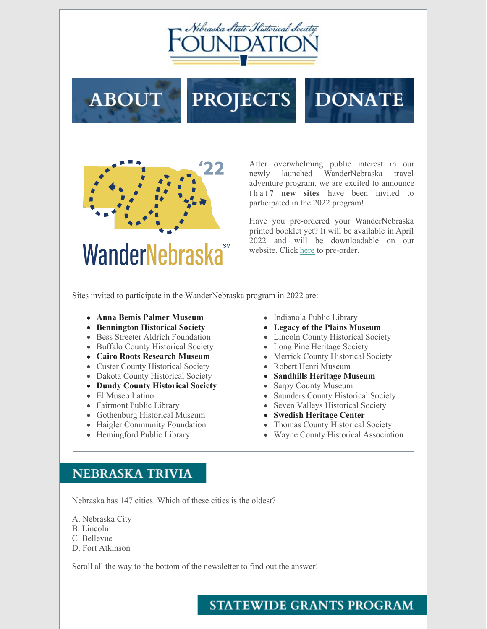

**PROJECTS** 





**ABOUT** 

After overwhelming public interest in our newly launched WanderNebraska travel adventure program, we are excited to announce t h a t **7 new sites** have been invited to participated in the 2022 program!

Have you pre-ordered your WanderNebraska printed booklet yet? It will be available in April 2022 and will be downloadable on our website. Click [here](https://www.nshsf.org/about-us/wandernebraska/) to pre-order.

Sites invited to participate in the WanderNebraska program in 2022 are:

- **Anna Bemis Palmer Museum**
- **Bennington Historical Society**
- Bess Streeter Aldrich Foundation
- Buffalo County Historical Society
- **Cairo Roots Research Museum**
- Custer County Historical Society
- Dakota County Historical Society
- **Dundy County Historical Society**
- El Museo Latino
- Fairmont Public Library
- Gothenburg Historical Museum
- Haigler Community Foundation
- Hemingford Public Library
- Indianola Public Library
- **Legacy of the Plains Museum**
- Lincoln County Historical Society
- Long Pine Heritage Society
- Merrick County Historical Society
- Robert Henri Museum
- **Sandhills Heritage Museum**
- Sarpy County Museum
- Saunders County Historical Society
- Seven Valleys Historical Society
- **Swedish Heritage Center**
- Thomas County Historical Society
- Wayne County Historical Association

## **NEBRASKA TRIVIA**

Nebraska has 147 cities. Which of these cities is the oldest?

A. Nebraska City

- B. Lincoln
- C. Bellevue
- D. Fort Atkinson

Scroll all the way to the bottom of the newsletter to find out the answer!

## **STATEWIDE GRANTS PROGRAM**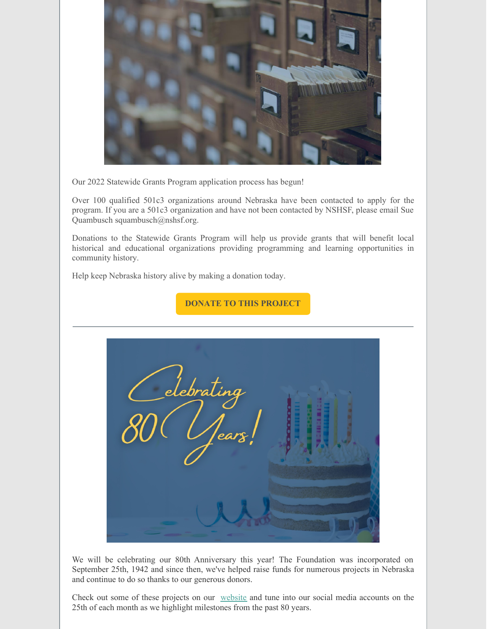

Our 2022 Statewide Grants Program application process has begun!

Over 100 qualified 501c3 organizations around Nebraska have been contacted to apply for the program. If you are a 501c3 organization and have not been contacted by NSHSF, please email Sue Quambusch squambusch@nshsf.org.

Donations to the Statewide Grants Program will help us provide grants that will benefit local historical and educational organizations providing programming and learning opportunities in community history.

Help keep Nebraska history alive by making a donation today.





We will be celebrating our 80th Anniversary this year! The Foundation was incorporated on September 25th, 1942 and since then, we've helped raise funds for numerous projects in Nebraska and continue to do so thanks to our generous donors.

Check out some of these projects on our [website](https://www.nshsf.org/projects/?fbclid=IwAR3X76b2q3plkIaH7l6jA9EG0cLtkIf1DK_ok62eXBgbekRw7BlrL8IrsjE) and tune into our social media accounts on the 25th of each month as we highlight milestones from the past 80 years.